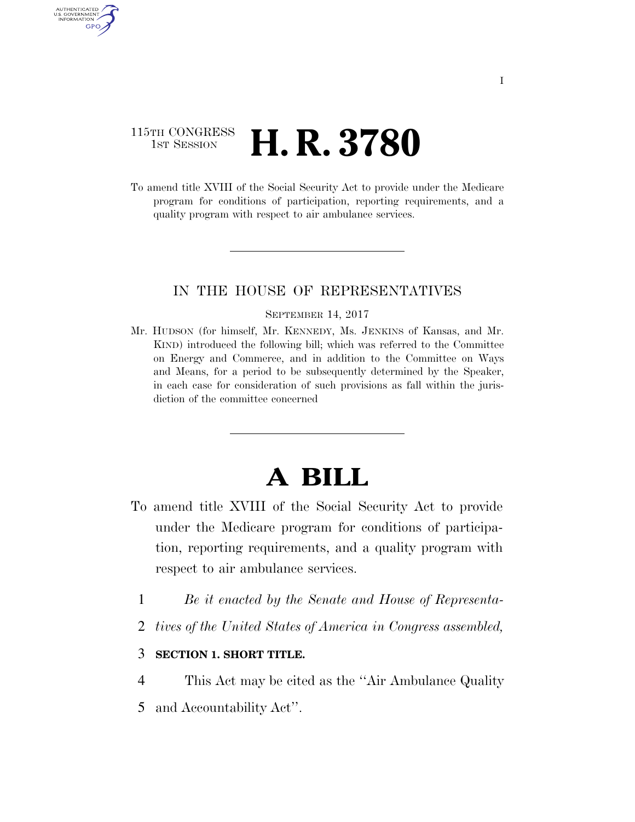## 115TH CONGRESS **1st Session H. R. 3780**

AUTHENTICATED U.S. GOVERNMENT GPO

> To amend title XVIII of the Social Security Act to provide under the Medicare program for conditions of participation, reporting requirements, and a quality program with respect to air ambulance services.

### IN THE HOUSE OF REPRESENTATIVES

#### SEPTEMBER 14, 2017

Mr. HUDSON (for himself, Mr. KENNEDY, Ms. JENKINS of Kansas, and Mr. KIND) introduced the following bill; which was referred to the Committee on Energy and Commerce, and in addition to the Committee on Ways and Means, for a period to be subsequently determined by the Speaker, in each case for consideration of such provisions as fall within the jurisdiction of the committee concerned

# **A BILL**

- To amend title XVIII of the Social Security Act to provide under the Medicare program for conditions of participation, reporting requirements, and a quality program with respect to air ambulance services.
	- 1 *Be it enacted by the Senate and House of Representa-*
	- 2 *tives of the United States of America in Congress assembled,*

### 3 **SECTION 1. SHORT TITLE.**

- 4 This Act may be cited as the ''Air Ambulance Quality
- 5 and Accountability Act''.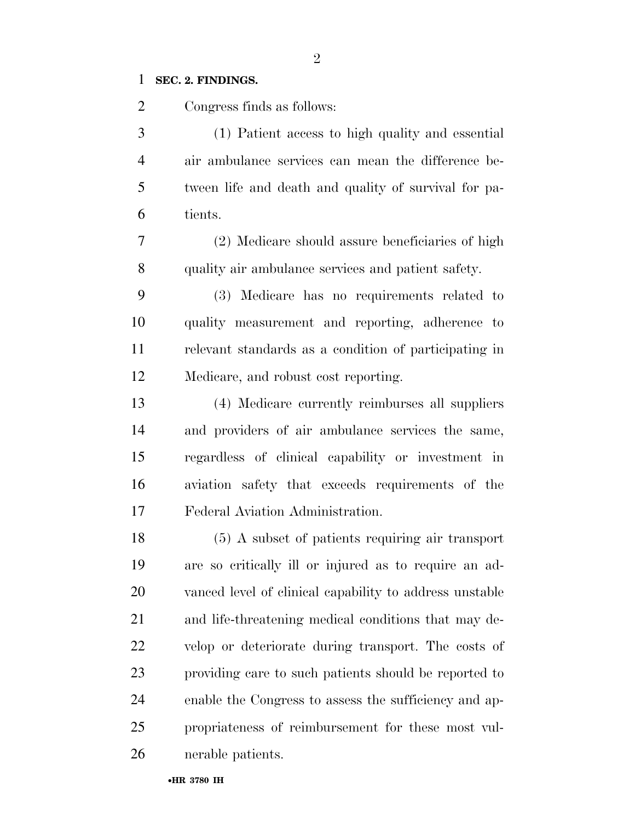### **SEC. 2. FINDINGS.**

Congress finds as follows:

 (1) Patient access to high quality and essential air ambulance services can mean the difference be- tween life and death and quality of survival for pa-tients.

 (2) Medicare should assure beneficiaries of high quality air ambulance services and patient safety.

 (3) Medicare has no requirements related to quality measurement and reporting, adherence to relevant standards as a condition of participating in Medicare, and robust cost reporting.

 (4) Medicare currently reimburses all suppliers and providers of air ambulance services the same, regardless of clinical capability or investment in aviation safety that exceeds requirements of the Federal Aviation Administration.

 (5) A subset of patients requiring air transport are so critically ill or injured as to require an ad- vanced level of clinical capability to address unstable and life-threatening medical conditions that may de- velop or deteriorate during transport. The costs of providing care to such patients should be reported to enable the Congress to assess the sufficiency and ap- propriateness of reimbursement for these most vul-nerable patients.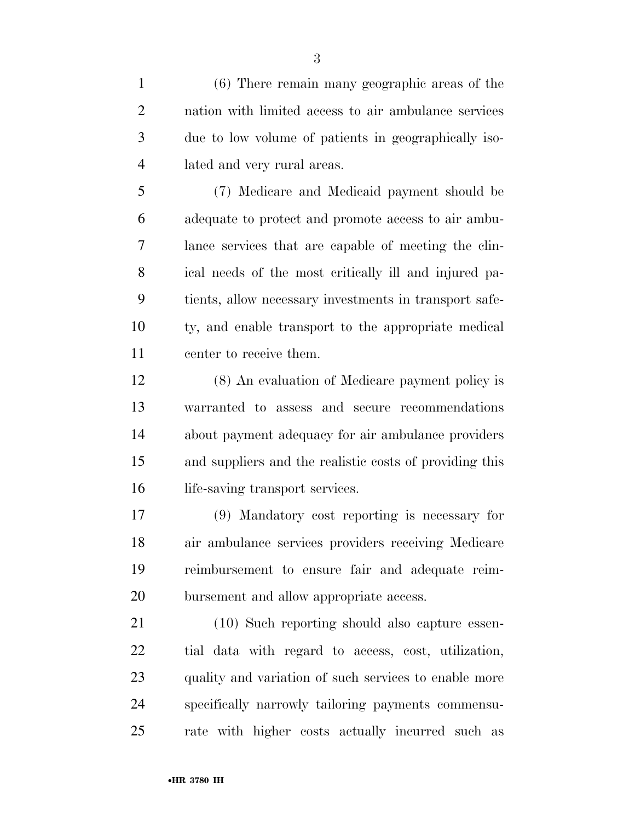(6) There remain many geographic areas of the nation with limited access to air ambulance services due to low volume of patients in geographically iso-lated and very rural areas.

 (7) Medicare and Medicaid payment should be adequate to protect and promote access to air ambu- lance services that are capable of meeting the clin- ical needs of the most critically ill and injured pa- tients, allow necessary investments in transport safe- ty, and enable transport to the appropriate medical center to receive them.

 (8) An evaluation of Medicare payment policy is warranted to assess and secure recommendations about payment adequacy for air ambulance providers and suppliers and the realistic costs of providing this 16 life-saving transport services.

 (9) Mandatory cost reporting is necessary for air ambulance services providers receiving Medicare reimbursement to ensure fair and adequate reim-bursement and allow appropriate access.

 (10) Such reporting should also capture essen- tial data with regard to access, cost, utilization, quality and variation of such services to enable more specifically narrowly tailoring payments commensu-rate with higher costs actually incurred such as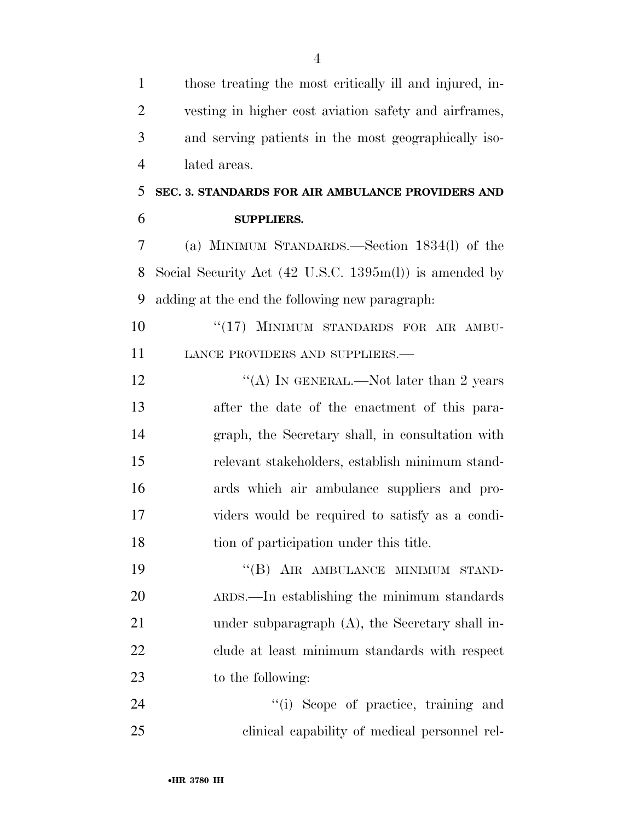those treating the most critically ill and injured, in- vesting in higher cost aviation safety and airframes, and serving patients in the most geographically iso- lated areas. **SEC. 3. STANDARDS FOR AIR AMBULANCE PROVIDERS AND SUPPLIERS.**  (a) MINIMUM STANDARDS.—Section 1834(l) of the Social Security Act (42 U.S.C. 1395m(l)) is amended by adding at the end the following new paragraph: 10 "(17) MINIMUM STANDARDS FOR AIR AMBU-11 LANCE PROVIDERS AND SUPPLIERS.— 12 "(A) IN GENERAL.—Not later than 2 years after the date of the enactment of this para- graph, the Secretary shall, in consultation with relevant stakeholders, establish minimum stand- ards which air ambulance suppliers and pro- viders would be required to satisfy as a condi- tion of participation under this title. 19 "(B) AIR AMBULANCE MINIMUM STAND- ARDS.—In establishing the minimum standards 21 under subparagraph (A), the Secretary shall in- clude at least minimum standards with respect to the following:  $(i)$  Scope of practice, training and clinical capability of medical personnel rel-

•**HR 3780 IH**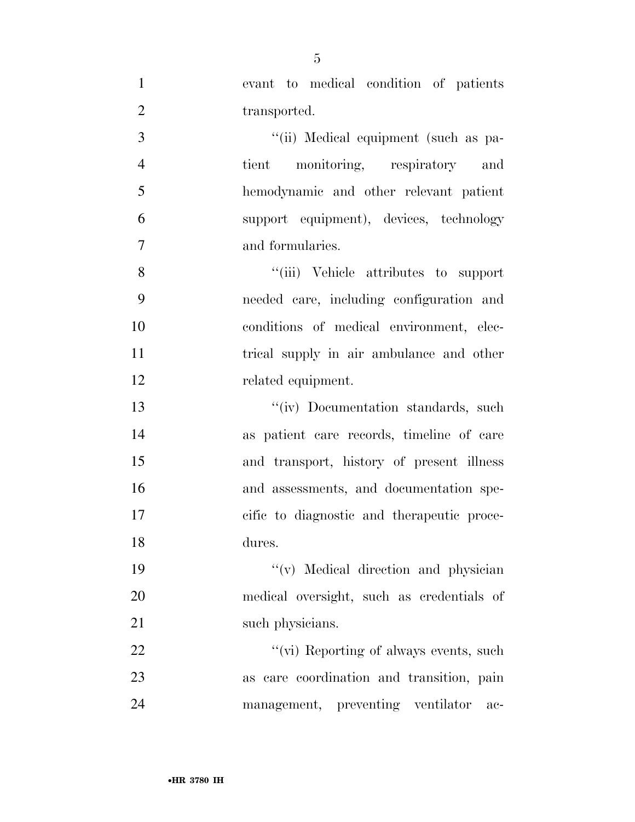evant to medical condition of patients 2 transported. 3 ''(ii) Medical equipment (such as pa- tient monitoring, respiratory and hemodynamic and other relevant patient support equipment), devices, technology and formularies. 8 ''(iii) Vehicle attributes to support needed care, including configuration and conditions of medical environment, elec-11 trical supply in air ambulance and other related equipment. 13 ''(iv) Documentation standards, such as patient care records, timeline of care and transport, history of present illness and assessments, and documentation spe- cific to diagnostic and therapeutic proce- dures. ''(v) Medical direction and physician medical oversight, such as credentials of 21 such physicians.  $\frac{f'(v)}{g}$  Reporting of always events, such

 as care coordination and transition, pain management, preventing ventilator ac-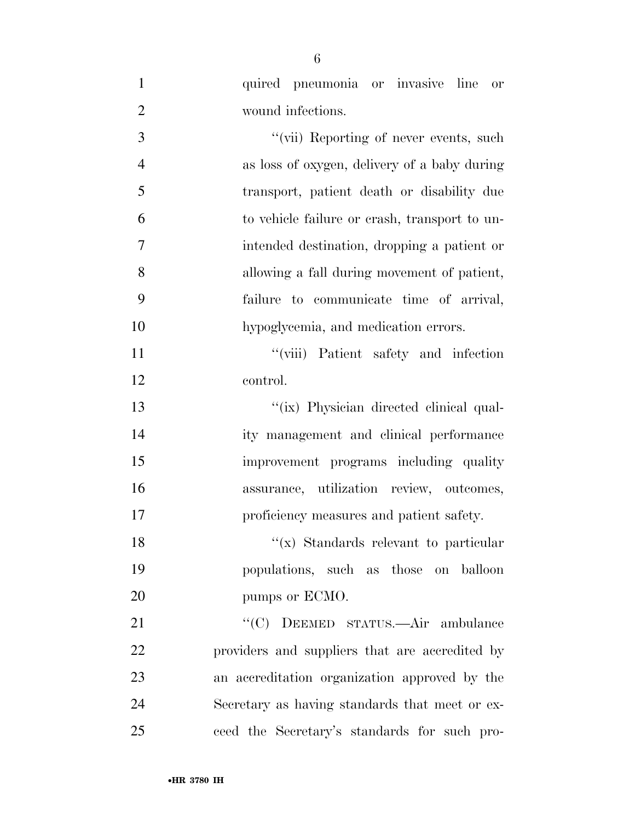| $\mathbf{1}$   | quired pneumonia or invasive line<br>or        |
|----------------|------------------------------------------------|
| $\overline{2}$ | wound infections.                              |
| 3              | "(vii) Reporting of never events, such         |
| $\overline{4}$ | as loss of oxygen, delivery of a baby during   |
| 5              | transport, patient death or disability due     |
| 6              | to vehicle failure or crash, transport to un-  |
| 7              | intended destination, dropping a patient or    |
| 8              | allowing a fall during movement of patient,    |
| 9              | failure to communicate time of arrival,        |
| 10             | hypoglycemia, and medication errors.           |
| 11             | "(viii) Patient safety and infection           |
| 12             | control.                                       |
| 13             | "(ix) Physician directed clinical qual-        |
| 14             | ity management and clinical performance        |
| 15             | improvement programs including quality         |
| 16             | assurance, utilization review, outcomes,       |
| 17             | proficiency measures and patient safety.       |
| 18             | " $(x)$ Standards relevant to particular       |
| 19             | populations, such as those on balloon          |
| 20             | pumps or ECMO.                                 |
| 21             | "(C) DEEMED STATUS.—Air ambulance              |
| 22             | providers and suppliers that are accredited by |
| 23             | an accreditation organization approved by the  |
| 24             | Secretary as having standards that meet or ex- |
| 25             | ceed the Secretary's standards for such pro-   |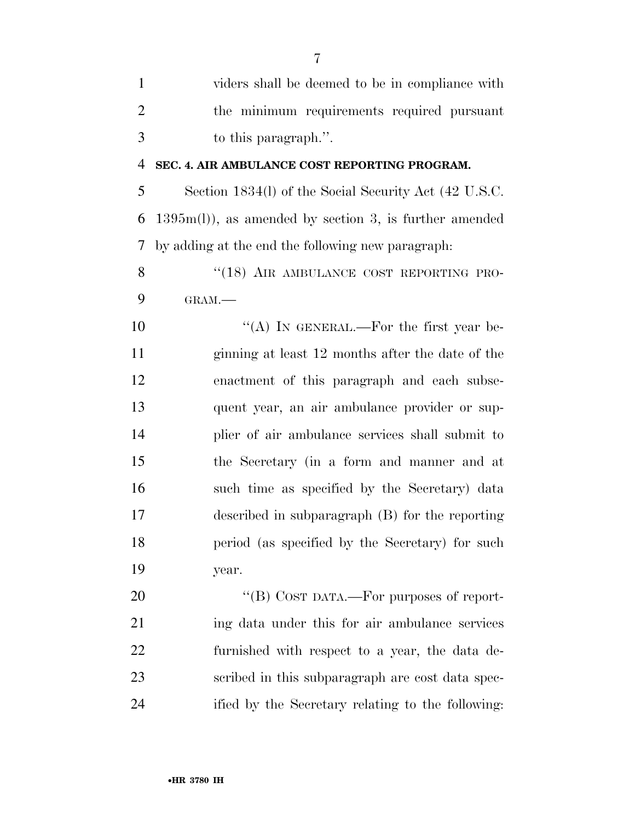| $\mathbf{1}$   | viders shall be deemed to be in compliance with          |
|----------------|----------------------------------------------------------|
| $\overline{2}$ | the minimum requirements required pursuant               |
| 3              | to this paragraph.".                                     |
| 4              | SEC. 4. AIR AMBULANCE COST REPORTING PROGRAM.            |
| 5              | Section 1834(l) of the Social Security Act (42 U.S.C.    |
| 6              | $1395m(l)$ , as amended by section 3, is further amended |
| 7              | by adding at the end the following new paragraph:        |
| 8              | "(18) AIR AMBULANCE COST REPORTING PRO-                  |
| 9              | GRAM.                                                    |
| 10             | "(A) IN GENERAL.—For the first year be-                  |
| 11             | ginning at least 12 months after the date of the         |
| 12             | enactment of this paragraph and each subse-              |
| 13             | quent year, an air ambulance provider or sup-            |
| 14             | plier of air ambulance services shall submit to          |
| 15             | the Secretary (in a form and manner and at               |
| 16             | such time as specified by the Secretary) data            |
| 17             | described in subparagraph (B) for the reporting          |
| 18             | period (as specified by the Secretary) for such          |
| 19             | year.                                                    |
| 20             | "(B) COST DATA.—For purposes of report-                  |
| 21             | ing data under this for air ambulance services           |
| 22             | furnished with respect to a year, the data de-           |
| 23             | scribed in this subparagraph are cost data spec-         |
| 24             | ified by the Secretary relating to the following:        |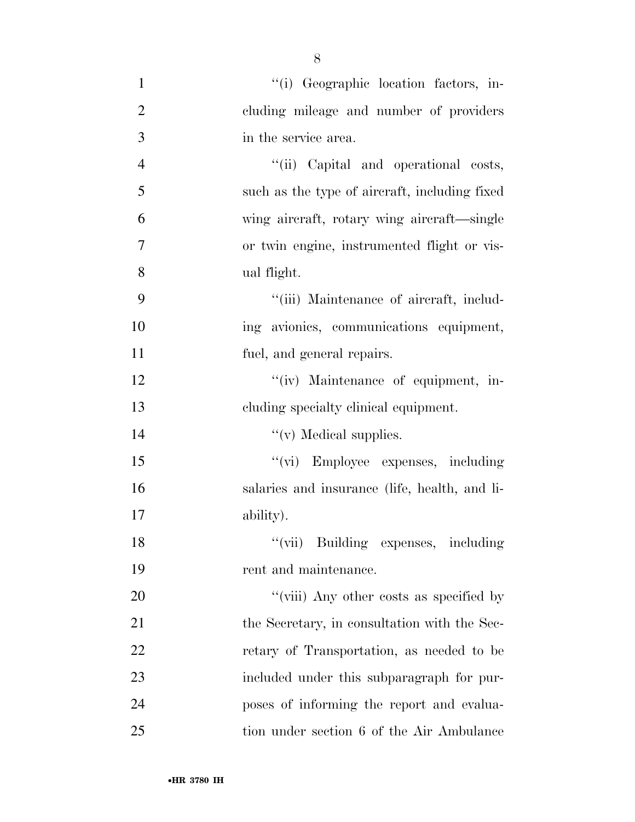| $\mathbf{1}$   | "(i) Geographic location factors, in-         |
|----------------|-----------------------------------------------|
| $\overline{2}$ | cluding mileage and number of providers       |
| 3              | in the service area.                          |
| $\overline{4}$ | "(ii) Capital and operational costs,          |
| 5              | such as the type of aircraft, including fixed |
| 6              | wing aircraft, rotary wing aircraft—single    |
| $\overline{7}$ | or twin engine, instrumented flight or vis-   |
| 8              | ual flight.                                   |
| 9              | "(iii) Maintenance of aircraft, includ-       |
| 10             | ing avionies, communications equipment,       |
| 11             | fuel, and general repairs.                    |
| 12             | "(iv) Maintenance of equipment, in-           |
| 13             | cluding specialty clinical equipment.         |
| 14             | $\lq\lq$ (v) Medical supplies.                |
| 15             | "(vi) Employee expenses, including            |
| 16             | salaries and insurance (life, health, and li- |
| 17             | ability).                                     |
| 18             | "(vii) Building expenses, including           |
| 19             | rent and maintenance.                         |
| 20             | "(viii) Any other costs as specified by       |
| 21             | the Secretary, in consultation with the Sec-  |
| 22             | retary of Transportation, as needed to be     |
| 23             | included under this subparagraph for pur-     |
| 24             | poses of informing the report and evalua-     |
| 25             | tion under section 6 of the Air Ambulance     |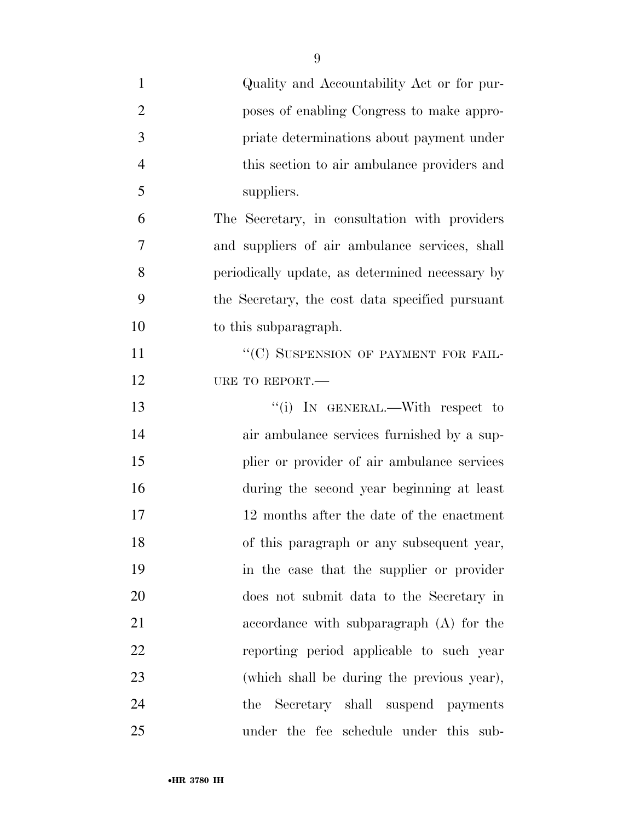| $\mathbf{1}$   | Quality and Accountability Act or for pur-      |
|----------------|-------------------------------------------------|
| $\overline{2}$ | poses of enabling Congress to make appro-       |
| 3              | priate determinations about payment under       |
| $\overline{4}$ | this section to air ambulance providers and     |
| 5              | suppliers.                                      |
| 6              | The Secretary, in consultation with providers   |
| 7              | and suppliers of air ambulance services, shall  |
| 8              | periodically update, as determined necessary by |
| 9              | the Secretary, the cost data specified pursuant |
| 10             | to this subparagraph.                           |
| 11             | "(C) SUSPENSION OF PAYMENT FOR FAIL-            |
| 12             | URE TO REPORT.-                                 |
| 13             | "(i) IN GENERAL.—With respect to                |
| 14             | air ambulance services furnished by a sup-      |
| 15             | plier or provider of air ambulance services     |
| 16             | during the second year beginning at least       |
| 17             | 12 months after the date of the enactment       |
| 18             | of this paragraph or any subsequent year,       |
| 19             | in the case that the supplier or provider       |
| 20             | does not submit data to the Secretary in        |
| 21             | accordance with subparagraph (A) for the        |
| 22             | reporting period applicable to such year        |
| 23             | (which shall be during the previous year),      |
| 24             | Secretary shall suspend payments<br>the         |
| 25             | under the fee schedule under this sub-          |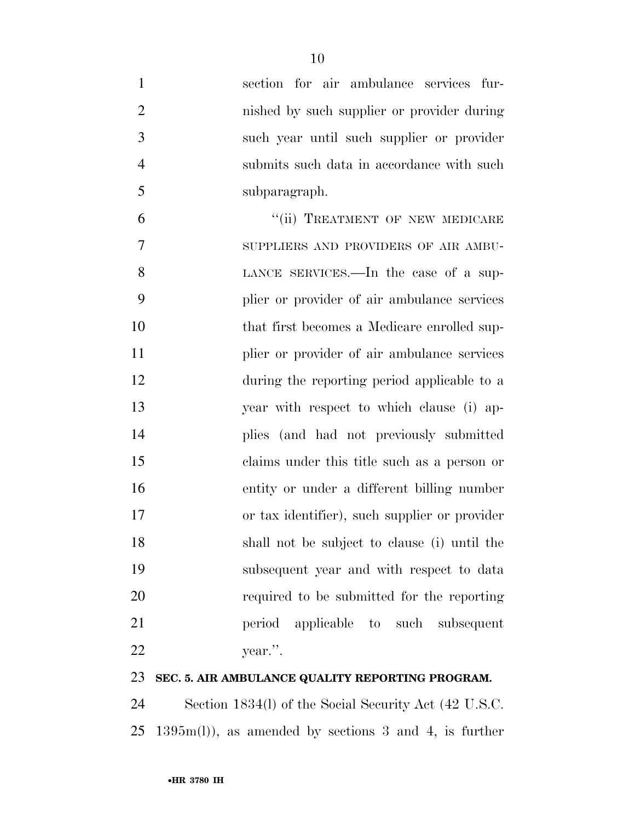| $\mathbf{1}$   | section for air ambulance services fur-       |
|----------------|-----------------------------------------------|
| $\overline{2}$ | nished by such supplier or provider during    |
| 3              | such year until such supplier or provider     |
| $\overline{4}$ | submits such data in accordance with such     |
| 5              | subparagraph.                                 |
| 6              | "(ii) TREATMENT OF NEW MEDICARE               |
| 7              | SUPPLIERS AND PROVIDERS OF AIR AMBU-          |
| 8              | LANCE SERVICES.—In the case of a sup-         |
| 9              | plier or provider of air ambulance services   |
| 10             | that first becomes a Medicare enrolled sup-   |
| 11             | plier or provider of air ambulance services   |
| 12             | during the reporting period applicable to a   |
| 13             | year with respect to which clause (i) ap-     |
| 14             | plies (and had not previously submitted       |
| 15             | claims under this title such as a person or   |
| 16             | entity or under a different billing number    |
| 17             | or tax identifier), such supplier or provider |
| 18             | shall not be subject to clause (i) until the  |
| 19             | subsequent year and with respect to data      |
| 20             | required to be submitted for the reporting    |
| 21             | applicable to such subsequent<br>period       |
| 22             | year.".                                       |
|                |                                               |

### **SEC. 5. AIR AMBULANCE QUALITY REPORTING PROGRAM.**

 Section 1834(l) of the Social Security Act (42 U.S.C. 1395m(l)), as amended by sections 3 and 4, is further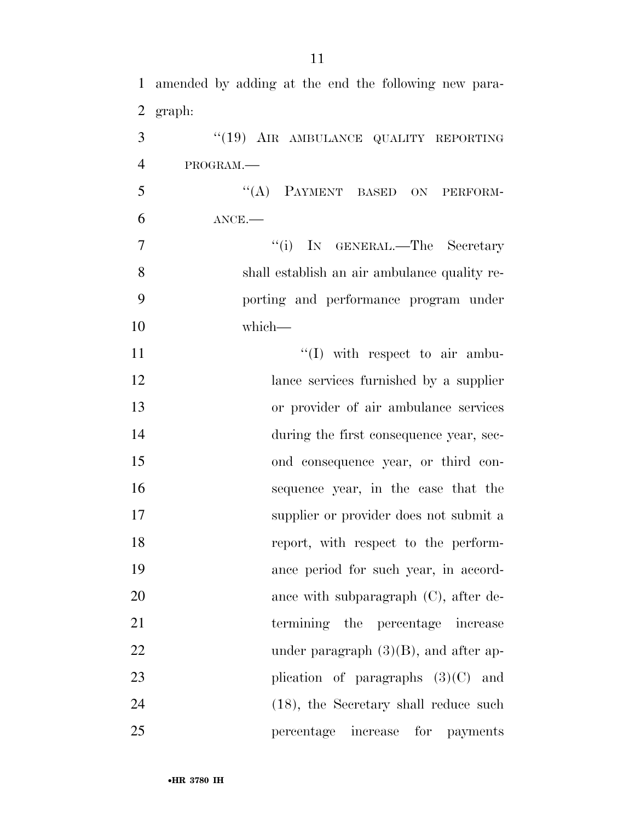| $\mathbf{1}$   | amended by adding at the end the following new para- |
|----------------|------------------------------------------------------|
| $\overline{2}$ | graph:                                               |
| 3              | "(19) AIR AMBULANCE QUALITY REPORTING                |
| $\overline{4}$ | PROGRAM.                                             |
| 5              | "(A) PAYMENT BASED ON PERFORM-                       |
| 6              | $ANCE$ .                                             |
| $\overline{7}$ | "(i) IN GENERAL.—The Secretary                       |
| 8              | shall establish an air ambulance quality re-         |
| 9              | porting and performance program under                |
| 10             | which-                                               |
| 11             | $\lq\lq$ (I) with respect to air ambu-               |
| 12             | lance services furnished by a supplier               |
| 13             | or provider of air ambulance services                |
| 14             | during the first consequence year, sec-              |
| 15             | ond consequence year, or third con-                  |
| 16             | sequence year, in the case that the                  |
| 17             | supplier or provider does not submit a               |
| 18             | report, with respect to the perform-                 |
| 19             | ance period for such year, in accord-                |
| 20             | ance with subparagraph $(C)$ , after de-             |
| 21             | termining the percentage increase                    |
| 22             | under paragraph $(3)(B)$ , and after ap-             |
| 23             | plication of paragraphs $(3)(C)$ and                 |
| 24             | $(18)$ , the Secretary shall reduce such             |
| 25             | for<br>increase<br>percentage<br><i>payments</i>     |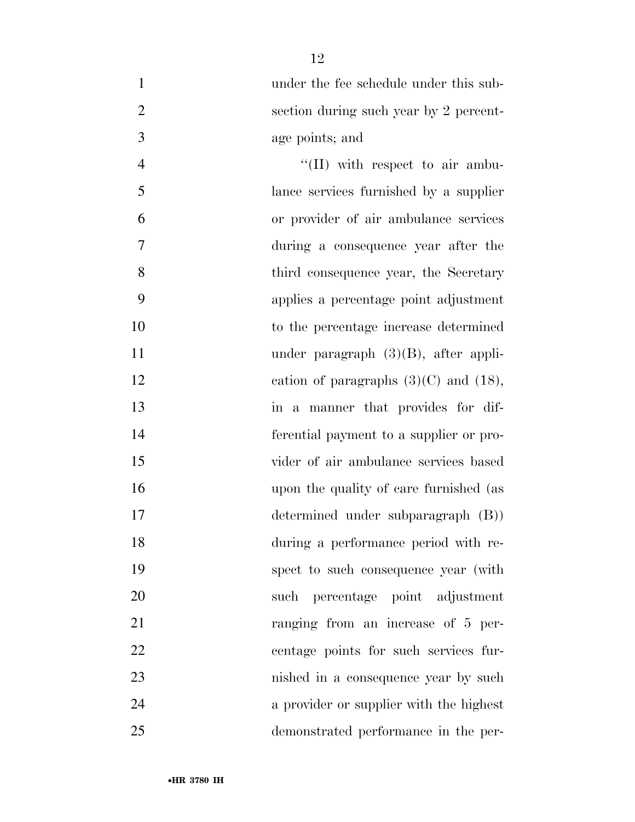| $\mathbf{1}$   | under the fee schedule under this sub-     |
|----------------|--------------------------------------------|
| $\overline{2}$ | section during such year by 2 percent-     |
| $\overline{3}$ | age points; and                            |
| $\overline{4}$ | $\lq\lq$ (II) with respect to air ambu-    |
| 5              | lance services furnished by a supplier     |
| 6              | or provider of air ambulance services      |
| $\tau$         | during a consequence year after the        |
| 8              | third consequence year, the Secretary      |
| 9              | applies a percentage point adjustment      |
| 10             | to the percentage increase determined      |
| 11             | under paragraph $(3)(B)$ , after appli-    |
| 12             | cation of paragraphs $(3)(C)$ and $(18)$ , |
| 13             | in a manner that provides for dif-         |
| 14             | ferential payment to a supplier or pro-    |
| 15             | vider of air ambulance services based      |
| 16             | upon the quality of care furnished (as     |
| 17             | determined under subparagraph (B))         |
| 18             | during a performance period with re-       |
| 19             | spect to such consequence year (with       |
| 20             | such percentage point adjustment           |
| 21             | ranging from an increase of 5 per-         |
| 22             | centage points for such services fur-      |
| 23             | nished in a consequence year by such       |
| 24             | a provider or supplier with the highest    |
| 25             | demonstrated performance in the per-       |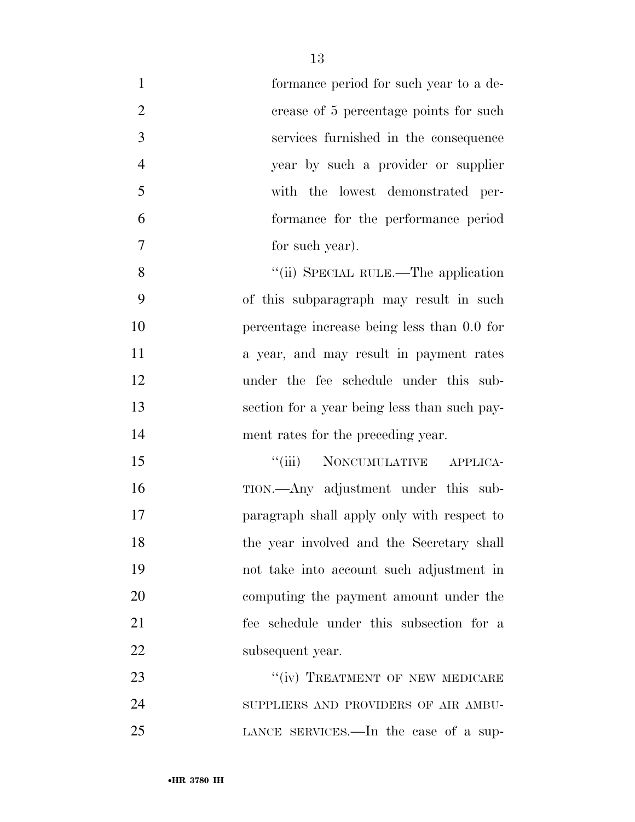| $\mathbf{1}$   | formance period for such year to a de-       |
|----------------|----------------------------------------------|
| $\overline{2}$ | crease of 5 percentage points for such       |
| 3              | services furnished in the consequence        |
| $\overline{4}$ | year by such a provider or supplier          |
| 5              | with the lowest demonstrated per-            |
| 6              | formance for the performance period          |
| 7              | for such year).                              |
| 8              | "(ii) SPECIAL RULE.—The application          |
| 9              | of this subparagraph may result in such      |
| 10             | percentage increase being less than 0.0 for  |
| 11             | a year, and may result in payment rates      |
| 12             | under the fee schedule under this sub-       |
| 13             | section for a year being less than such pay- |
| 14             | ment rates for the preceding year.           |
| 15             | NONCUMULATIVE APPLICA-<br>``(iii)            |
| 16             | TION.—Any adjustment under this sub-         |
| 17             | paragraph shall apply only with respect to   |
| 18             | the year involved and the Secretary shall    |
| 19             | not take into account such adjustment in     |
| 20             | computing the payment amount under the       |
| 21             | fee schedule under this subsection for a     |
| 22             | subsequent year.                             |
| 23             | "(iv) TREATMENT OF NEW MEDICARE              |
| 24             | SUPPLIERS AND PROVIDERS OF AIR AMBU-         |
| 25             | LANCE SERVICES.—In the case of a sup-        |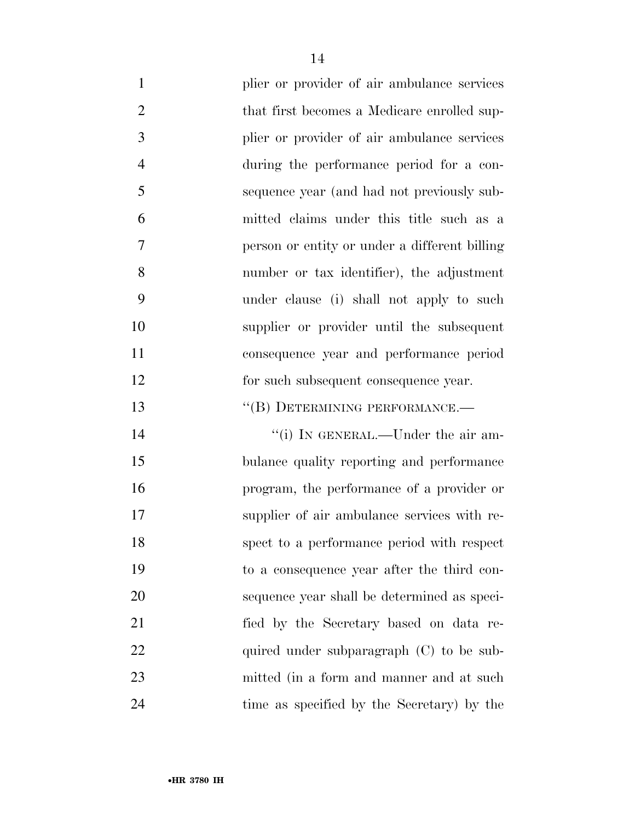- 1 plier or provider of air ambulance services 2 that first becomes a Medicare enrolled sup- plier or provider of air ambulance services during the performance period for a con- sequence year (and had not previously sub- mitted claims under this title such as a person or entity or under a different billing number or tax identifier), the adjustment under clause (i) shall not apply to such supplier or provider until the subsequent consequence year and performance period 12 for such subsequent consequence year. 13 "(B) DETERMINING PERFORMANCE.— 14 ''(i) IN GENERAL.—Under the air am- bulance quality reporting and performance program, the performance of a provider or supplier of air ambulance services with re-spect to a performance period with respect
- to a consequence year after the third con- sequence year shall be determined as speci- fied by the Secretary based on data re-22 quired under subparagraph (C) to be sub- mitted (in a form and manner and at such time as specified by the Secretary) by the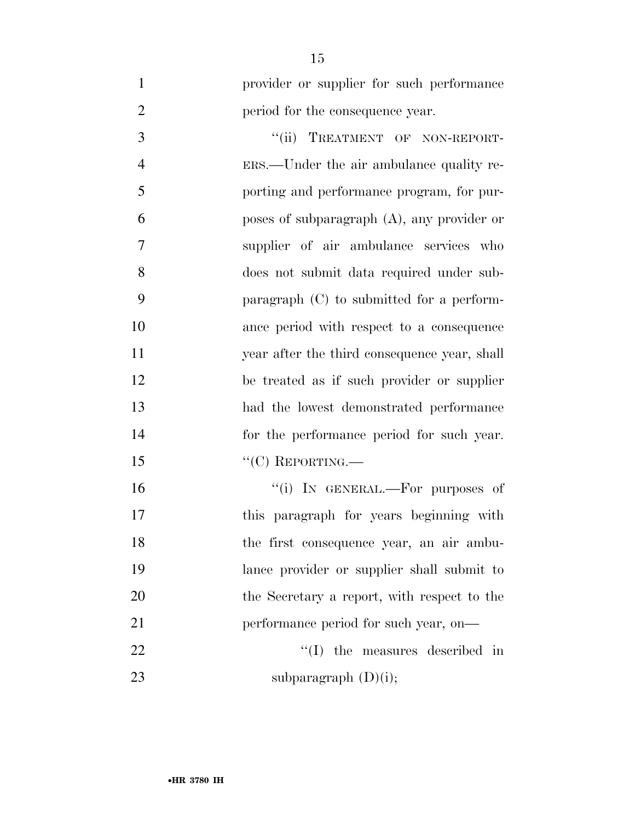provider or supplier for such performance **period for the consequence year.** 

3 "(ii) TREATMENT OF NON-REPORT- ERS.—Under the air ambulance quality re- porting and performance program, for pur- poses of subparagraph (A), any provider or supplier of air ambulance services who does not submit data required under sub- paragraph (C) to submitted for a perform- ance period with respect to a consequence year after the third consequence year, shall be treated as if such provider or supplier had the lowest demonstrated performance for the performance period for such year. 15 "C) REPORTING.—  $"$ (i) In GENERAL.—For purposes of

 this paragraph for years beginning with the first consequence year, an air ambu- lance provider or supplier shall submit to the Secretary a report, with respect to the 21 performance period for such year, on— 22 ''(I) the measures described in 23 subparagraph  $(D)(i)$ ;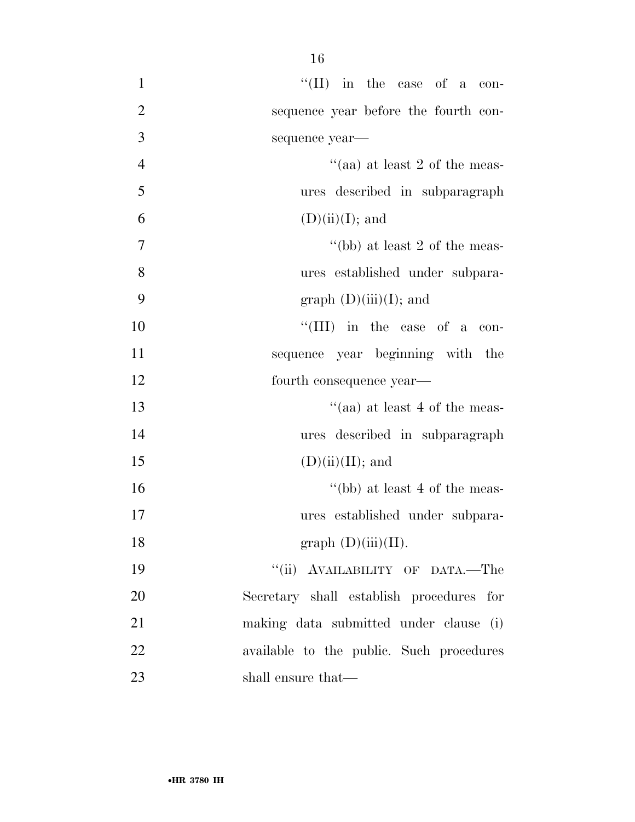| $\mathbf{1}$   | $\lq\lq$ (II) in the case of a con-       |
|----------------|-------------------------------------------|
| $\overline{2}$ | sequence year before the fourth con-      |
| 3              | sequence year-                            |
| $\overline{4}$ | "(aa) at least 2 of the meas-             |
| 5              | ures described in subparagraph            |
| 6              | $(D)(ii)(I);$ and                         |
| $\overline{7}$ | "(bb) at least 2 of the meas-             |
| 8              | ures established under subpara-           |
| 9              | graph $(D)(iii)(I)$ ; and                 |
| 10             | "(III) in the case of a con-              |
| 11             | sequence year beginning with the          |
| 12             | fourth consequence year—                  |
| 13             | "(aa) at least 4 of the meas-             |
| 14             | ures described in subparagraph            |
| 15             | $(D)(ii)(II);$ and                        |
| 16             | "(bb) at least 4 of the meas-             |
| 17             | ures established under subpara-           |
| 18             | graph $(D)(iii)(II)$ .                    |
| 19             | "(ii) AVAILABILITY OF DATA.-The           |
| 20             | Secretary shall establish procedures for  |
| 21             | making data submitted under clause<br>(i) |
| 22             | available to the public. Such procedures  |
| 23             | shall ensure that—                        |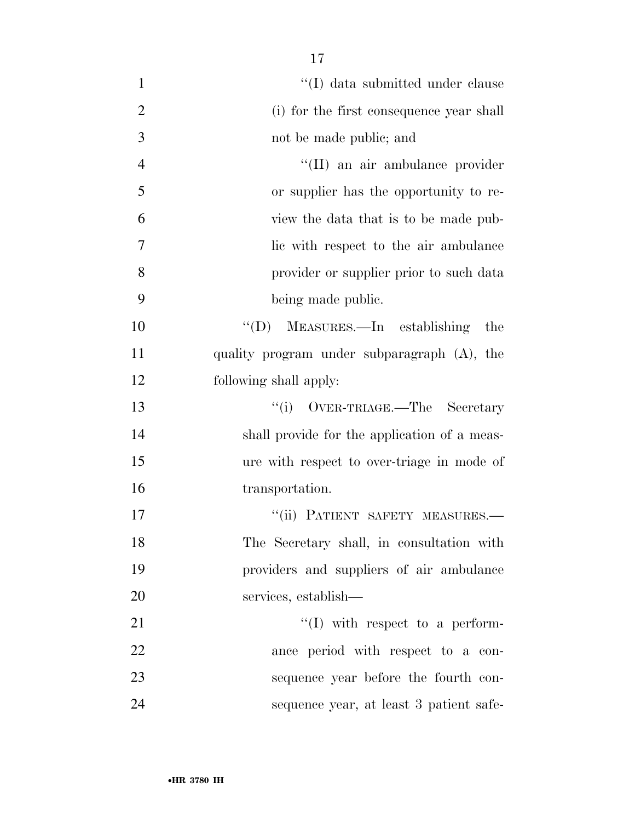1 ''(I) data submitted under clause (i) for the first consequence year shall not be made public; and 4 ''(II) an air ambulance provider or supplier has the opportunity to re- view the data that is to be made pub- lic with respect to the air ambulance provider or supplier prior to such data being made public.

 ''(D) MEASURES.—In establishing the quality program under subparagraph (A), the following shall apply:

13 ''(i) OVER-TRIAGE.—The Secretary shall provide for the application of a meas- ure with respect to over-triage in mode of transportation.

**''(ii) PATIENT SAFETY MEASURES.**— The Secretary shall, in consultation with providers and suppliers of air ambulance services, establish—

 $\langle (I) \rangle$  with respect to a perform- ance period with respect to a con- sequence year before the fourth con-sequence year, at least 3 patient safe-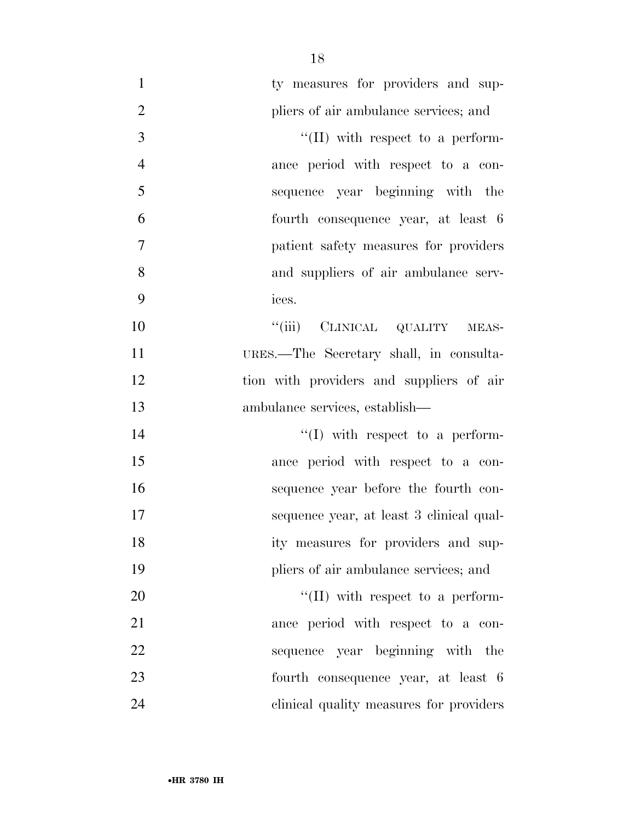| $\mathbf{1}$   | ty measures for providers and sup-       |
|----------------|------------------------------------------|
| $\overline{2}$ | pliers of air ambulance services; and    |
| $\mathfrak{Z}$ | "(II) with respect to a perform-         |
| $\overline{4}$ | ance period with respect to a con-       |
| 5              | sequence year beginning with the         |
| 6              | fourth consequence year, at least 6      |
| 7              | patient safety measures for providers    |
| 8              | and suppliers of air ambulance serv-     |
| 9              | ices.                                    |
| 10             | "(iii) CLINICAL QUALITY MEAS-            |
| 11             | URES.—The Secretary shall, in consulta-  |
| 12             | tion with providers and suppliers of air |
| 13             | ambulance services, establish—           |
| 14             | $\lq\lq$ (I) with respect to a perform-  |
| 15             | ance period with respect to a con-       |
| 16             | sequence year before the fourth con-     |
| 17             | sequence year, at least 3 clinical qual- |
| 18             | ity measures for providers and sup-      |
| 19             | pliers of air ambulance services; and    |
| 20             | $\lq\lq$ (II) with respect to a perform- |
| 21             | ance period with respect to a con-       |
| 22             | sequence year beginning with the         |
| 23             | fourth consequence year, at least 6      |
| 24             | clinical quality measures for providers  |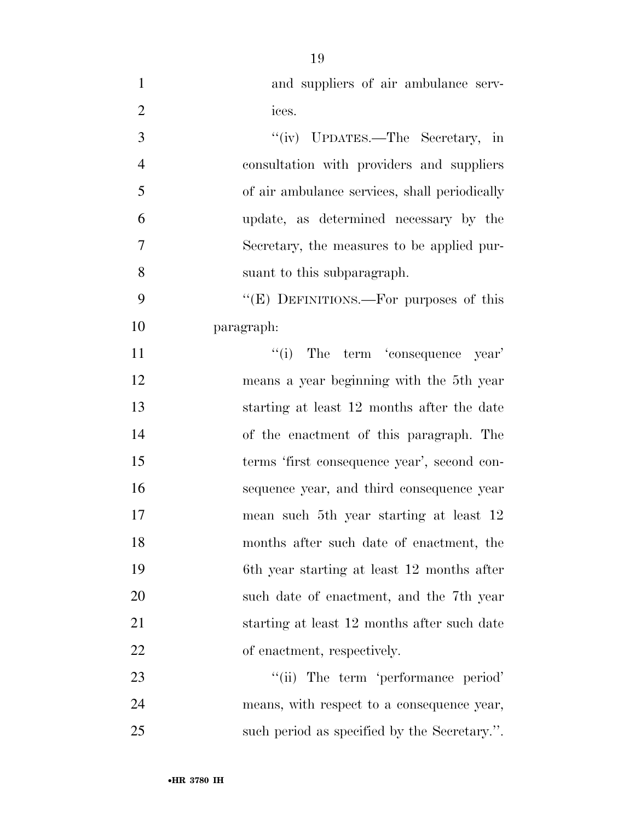| $\mathbf{1}$   | and suppliers of air ambulance serv-          |
|----------------|-----------------------------------------------|
| $\overline{2}$ | ices.                                         |
| 3              | "(iv) UPDATES.—The Secretary, in              |
| $\overline{4}$ | consultation with providers and suppliers     |
| 5              | of air ambulance services, shall periodically |
| 6              | update, as determined necessary by the        |
| 7              | Secretary, the measures to be applied pur-    |
| 8              | suant to this subparagraph.                   |
| 9              | "(E) DEFINITIONS.—For purposes of this        |
| 10             | paragraph:                                    |
| 11             | "(i) The term 'consequence year'              |
| 12             | means a year beginning with the 5th year      |
| 13             | starting at least 12 months after the date    |
| 14             | of the enactment of this paragraph. The       |
| 15             | terms 'first consequence year', second con-   |
| 16             | sequence year, and third consequence year     |
| 17             | mean such 5th year starting at least 12       |
| 18             | months after such date of enactment, the      |
| 19             | 6th year starting at least 12 months after    |
| 20             | such date of enactment, and the 7th year      |
| 21             | starting at least 12 months after such date   |
| 22             | of enactment, respectively.                   |
| 23             | "(ii) The term 'performance period'           |
| 24             | means, with respect to a consequence year,    |
| 25             | such period as specified by the Secretary.".  |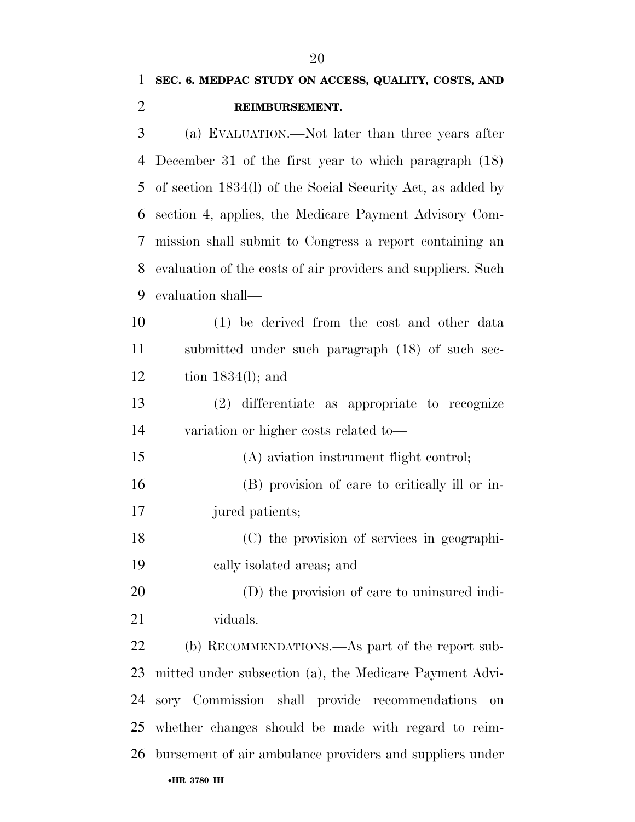| $\mathbf{1}$   | SEC. 6. MEDPAC STUDY ON ACCESS, QUALITY, COSTS, AND          |
|----------------|--------------------------------------------------------------|
| $\overline{2}$ | REIMBURSEMENT.                                               |
| 3              | (a) EVALUATION.—Not later than three years after             |
| 4              | December 31 of the first year to which paragraph $(18)$      |
| 5              | of section 1834(l) of the Social Security Act, as added by   |
| 6              | section 4, applies, the Medicare Payment Advisory Com-       |
| 7              | mission shall submit to Congress a report containing an      |
| 8              | evaluation of the costs of air providers and suppliers. Such |
| 9              | evaluation shall—                                            |
| 10             | (1) be derived from the cost and other data                  |
| 11             | submitted under such paragraph (18) of such sec-             |
| 12             | tion $1834(l)$ ; and                                         |
| 13             | $(2)$ differentiate as appropriate to recognize              |
| 14             | variation or higher costs related to-                        |
| 15             | (A) aviation instrument flight control;                      |
| 16             | (B) provision of care to critically ill or in-               |
| 17             | jured patients;                                              |
| 18             | (C) the provision of services in geographi-                  |
| 19             | cally isolated areas; and                                    |
| 20             | (D) the provision of care to uninsured indi-                 |
| 21             | viduals.                                                     |
| 22             | (b) RECOMMENDATIONS.—As part of the report sub-              |
| 23             | mitted under subsection (a), the Medicare Payment Advi-      |
| 24             | sory Commission shall provide recommendations<br>on          |
| 25             | whether changes should be made with regard to reim-          |
| 26             | bursement of air ambulance providers and suppliers under     |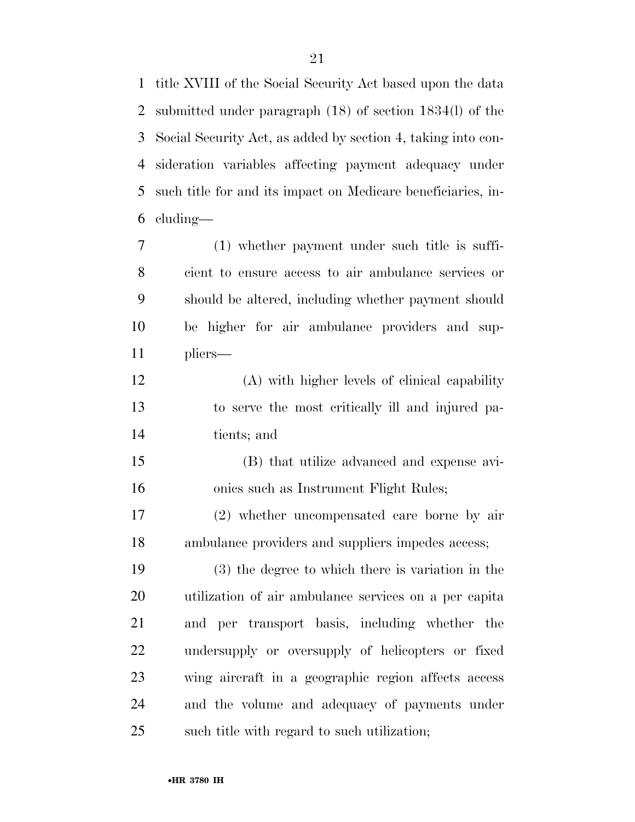title XVIII of the Social Security Act based upon the data submitted under paragraph (18) of section 1834(l) of the Social Security Act, as added by section 4, taking into con- sideration variables affecting payment adequacy under such title for and its impact on Medicare beneficiaries, in-cluding—

 (1) whether payment under such title is suffi- cient to ensure access to air ambulance services or should be altered, including whether payment should be higher for air ambulance providers and sup-pliers—

 (A) with higher levels of clinical capability to serve the most critically ill and injured pa-tients; and

 (B) that utilize advanced and expense avi-onics such as Instrument Flight Rules;

 (2) whether uncompensated care borne by air ambulance providers and suppliers impedes access;

 (3) the degree to which there is variation in the utilization of air ambulance services on a per capita and per transport basis, including whether the undersupply or oversupply of helicopters or fixed wing aircraft in a geographic region affects access and the volume and adequacy of payments under such title with regard to such utilization;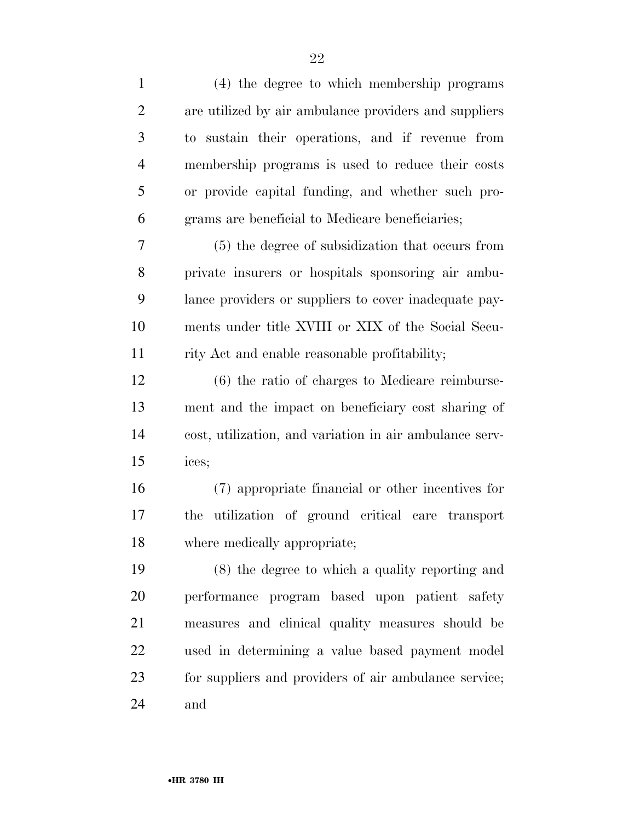| $\mathbf{1}$   | (4) the degree to which membership programs             |
|----------------|---------------------------------------------------------|
| $\overline{2}$ | are utilized by air ambulance providers and suppliers   |
| 3              | to sustain their operations, and if revenue from        |
| $\overline{4}$ | membership programs is used to reduce their costs       |
| 5              | or provide capital funding, and whether such pro-       |
| 6              | grams are beneficial to Medicare beneficiaries;         |
| 7              | (5) the degree of subsidization that occurs from        |
| 8              | private insurers or hospitals sponsoring air ambu-      |
| 9              | lance providers or suppliers to cover inadequate pay-   |
| 10             | ments under title XVIII or XIX of the Social Secu-      |
| 11             | rity Act and enable reasonable profitability;           |
| 12             | $(6)$ the ratio of charges to Medicare reimburse-       |
| 13             | ment and the impact on beneficiary cost sharing of      |
| 14             | cost, utilization, and variation in air ambulance serv- |
| 15             | ices;                                                   |
| 16             | (7) appropriate financial or other incentives for       |
| 17             | utilization of ground critical care transport<br>the    |
| 18             | where medically appropriate;                            |
| 19             | (8) the degree to which a quality reporting and         |
| 20             | performance program based upon patient safety           |
| 21             | measures and clinical quality measures should be        |
| 22             | used in determining a value based payment model         |
| 23             | for suppliers and providers of air ambulance service;   |
| 24             | and                                                     |